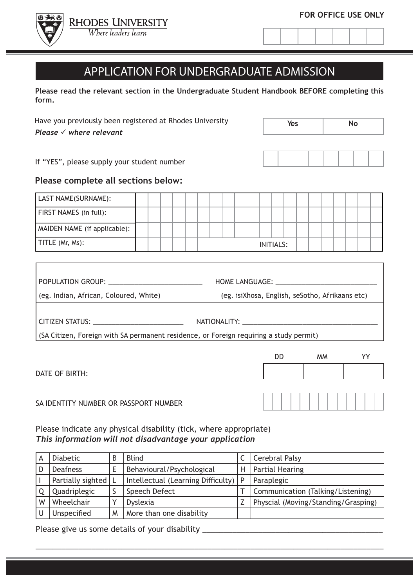



# APPLICATION FOR UNDERGRADUATE ADMISSION

**Please read the relevant section in the Undergraduate Student Handbook BEFORE completing this form.**

Have you previously been registered at Rhodes University *Please*  $\checkmark$  where relevant

| Yes | <b>No</b> |  |  |  |  |  |
|-----|-----------|--|--|--|--|--|
|     |           |  |  |  |  |  |

DD MM YY

If "YES", please supply your student number

# **Please complete all sections below:**

| LAST NAME(SURNAME):          |  |  |  |  |  |                  |  |  |  |  |
|------------------------------|--|--|--|--|--|------------------|--|--|--|--|
| FIRST NAMES (in full):       |  |  |  |  |  |                  |  |  |  |  |
| MAIDEN NAME (if applicable): |  |  |  |  |  |                  |  |  |  |  |
| TITLE (Mr, Ms):              |  |  |  |  |  | <b>INITIALS:</b> |  |  |  |  |

| POPULATION GROUP: ___________________________                                          | HOME LANGUAGE: The contract of the contract of the contract of the contract of the contract of the contract of the contract of the contract of the contract of the contract of the contract of the contract of the contract of |  |  |  |  |  |
|----------------------------------------------------------------------------------------|--------------------------------------------------------------------------------------------------------------------------------------------------------------------------------------------------------------------------------|--|--|--|--|--|
| (eg. Indian, African, Coloured, White)                                                 | (eg. isiXhosa, English, seSotho, Afrikaans etc)                                                                                                                                                                                |  |  |  |  |  |
|                                                                                        |                                                                                                                                                                                                                                |  |  |  |  |  |
| CITIZEN STATUS: _____________________________                                          | NATIONALITY: A CONTROLLER STATES OF THE STATES OF THE STATES OF THE STATES OF THE STATES OF THE STATES OF THE STATES OF THE STATES OF THE STATES OF THE STATES OF THE STATES OF THE STATES OF THE STATES OF THE STATES OF THE  |  |  |  |  |  |
| (SA Citizen, Foreign with SA permanent residence, or Foreign requiring a study permit) |                                                                                                                                                                                                                                |  |  |  |  |  |
|                                                                                        |                                                                                                                                                                                                                                |  |  |  |  |  |

DATE OF BIRTH:

# SA IDENTITY NUMBER OR PASSPORT NUMBER

Please indicate any physical disability (tick, where appropriate) *This information will not disadvantage your application*

| А | <b>Diabetic</b>       |   | <b>Blind</b>                             |   | <b>Cerebral Palsy</b>               |
|---|-----------------------|---|------------------------------------------|---|-------------------------------------|
| D | <b>Deafness</b>       |   | Behavioural/Psychological                | Η | <b>Partial Hearing</b>              |
|   | Partially sighted   L |   | Intellectual (Learning Difficulty) $ P $ |   | Paraplegic                          |
|   | Quadriplegic          |   | Speech Defect                            |   | Communication (Talking/Listening)   |
| W | Wheelchair            |   | <b>Dyslexia</b>                          |   | Physcial (Moving/Standing/Grasping) |
|   | Unspecified           | M | More than one disability                 |   |                                     |

\_\_\_\_\_\_\_\_\_\_\_\_\_\_\_\_\_\_\_\_\_\_\_\_\_\_\_\_\_\_\_\_\_\_\_\_\_\_\_\_\_\_\_\_\_\_\_\_\_\_\_\_\_\_\_\_\_\_\_\_\_\_\_\_\_\_\_\_\_\_\_\_\_\_\_\_\_\_\_\_\_

Please give us some details of your disability \_\_\_\_\_\_\_\_\_\_\_\_\_\_\_\_\_\_\_\_\_\_\_\_\_\_\_\_\_\_\_\_\_\_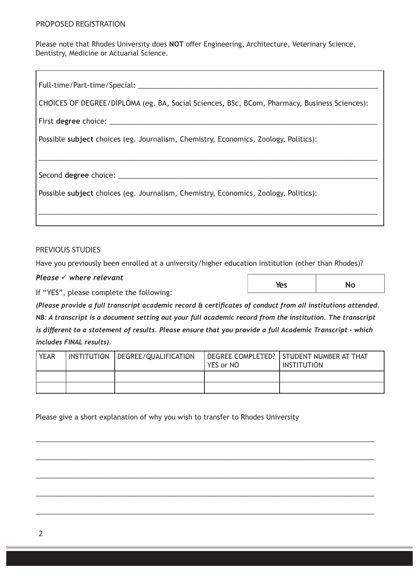Please note that Rhodes University does **NOT** offer Engineering, Architecture, Veterinary Science, Dentistry, Medicine or Actuarial Science.

#### PREVIOUS STUDIES

Have you previously been enrolled at a university/higher education institution (other than Rhodes)?

#### *Please √* where relevant

If "YES", please complete the following:

*(Please provide a full transcript academic record & certificates of conduct from all institutions attended. NB: A transcript is a document setting out your full academic record from the institution. The transcript is different to a statement of results. Please ensure that you provide a full Academic Transcript - which includes FINAL results).*

Yes **No** 

| <b>YEAR</b> | INSTITUTION | DEGREE/QUALIFICATION | YES or NO | DEGREE COMPLETED?   STUDENT NUMBER AT THAT<br><b>INSTITUTION</b> |
|-------------|-------------|----------------------|-----------|------------------------------------------------------------------|
|             |             |                      |           |                                                                  |
|             |             |                      |           |                                                                  |

\_\_\_\_\_\_\_\_\_\_\_\_\_\_\_\_\_\_\_\_\_\_\_\_\_\_\_\_\_\_\_\_\_\_\_\_\_\_\_\_\_\_\_\_\_\_\_\_\_\_\_\_\_\_\_\_\_\_\_\_\_\_\_\_\_\_\_\_\_\_\_\_\_\_\_\_\_\_\_\_\_\_\_\_\_\_

\_\_\_\_\_\_\_\_\_\_\_\_\_\_\_\_\_\_\_\_\_\_\_\_\_\_\_\_\_\_\_\_\_\_\_\_\_\_\_\_\_\_\_\_\_\_\_\_\_\_\_\_\_\_\_\_\_\_\_\_\_\_\_\_\_\_\_\_\_\_\_\_\_\_\_\_\_\_\_\_\_\_\_\_\_\_

\_\_\_\_\_\_\_\_\_\_\_\_\_\_\_\_\_\_\_\_\_\_\_\_\_\_\_\_\_\_\_\_\_\_\_\_\_\_\_\_\_\_\_\_\_\_\_\_\_\_\_\_\_\_\_\_\_\_\_\_\_\_\_\_\_\_\_\_\_\_\_\_\_\_\_\_\_\_\_\_\_\_\_\_\_\_

\_\_\_\_\_\_\_\_\_\_\_\_\_\_\_\_\_\_\_\_\_\_\_\_\_\_\_\_\_\_\_\_\_\_\_\_\_\_\_\_\_\_\_\_\_\_\_\_\_\_\_\_\_\_\_\_\_\_\_\_\_\_\_\_\_\_\_\_\_\_\_\_\_\_\_\_\_\_\_\_\_\_\_\_\_\_

\_\_\_\_\_\_\_\_\_\_\_\_\_\_\_\_\_\_\_\_\_\_\_\_\_\_\_\_\_\_\_\_\_\_\_\_\_\_\_\_\_\_\_\_\_\_\_\_\_\_\_\_\_\_\_\_\_\_\_\_\_\_\_\_\_\_\_\_\_\_\_\_\_\_\_\_\_\_\_\_\_\_\_\_\_\_

Please give a short explanation of why you wish to transfer to Rhodes University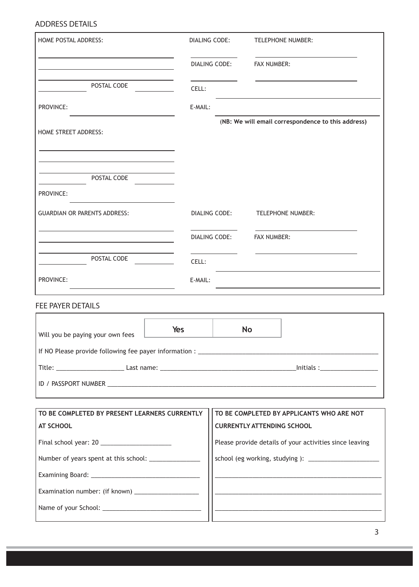#### ADDRESS DETAILS

| HOME POSTAL ADDRESS:                                 |         | DIALING CODE:        |                                                         | <b>TELEPHONE NUMBER:</b>                                                                                               |  |  |  |
|------------------------------------------------------|---------|----------------------|---------------------------------------------------------|------------------------------------------------------------------------------------------------------------------------|--|--|--|
|                                                      |         | DIALING CODE:        | <b>FAX NUMBER:</b>                                      |                                                                                                                        |  |  |  |
| POSTAL CODE                                          | CELL:   |                      |                                                         |                                                                                                                        |  |  |  |
| PROVINCE:                                            | E-MAIL: |                      |                                                         |                                                                                                                        |  |  |  |
| <b>HOME STREET ADDRESS:</b>                          |         |                      |                                                         | (NB: We will email correspondence to this address)                                                                     |  |  |  |
| POSTAL CODE                                          |         |                      |                                                         |                                                                                                                        |  |  |  |
| PROVINCE:                                            |         |                      |                                                         |                                                                                                                        |  |  |  |
| <b>GUARDIAN OR PARENTS ADDRESS:</b>                  |         | DIALING CODE:        |                                                         | <b>TELEPHONE NUMBER:</b>                                                                                               |  |  |  |
|                                                      |         | <b>DIALING CODE:</b> | <b>FAX NUMBER:</b>                                      |                                                                                                                        |  |  |  |
| POSTAL CODE                                          | CELL:   |                      |                                                         |                                                                                                                        |  |  |  |
| PROVINCE:                                            | E-MAIL: |                      |                                                         |                                                                                                                        |  |  |  |
| <b>FEE PAYER DETAILS</b>                             |         |                      |                                                         |                                                                                                                        |  |  |  |
| Will you be paying your own fees $\Box$              | Yes     |                      | <b>No</b>                                               |                                                                                                                        |  |  |  |
|                                                      |         |                      |                                                         |                                                                                                                        |  |  |  |
|                                                      |         |                      |                                                         |                                                                                                                        |  |  |  |
|                                                      |         |                      |                                                         |                                                                                                                        |  |  |  |
| TO BE COMPLETED BY PRESENT LEARNERS CURRENTLY        |         |                      |                                                         | TO BE COMPLETED BY APPLICANTS WHO ARE NOT                                                                              |  |  |  |
| <b>AT SCHOOL</b>                                     |         |                      | <b>CURRENTLY ATTENDING SCHOOL</b>                       |                                                                                                                        |  |  |  |
|                                                      |         |                      | Please provide details of your activities since leaving |                                                                                                                        |  |  |  |
|                                                      |         |                      |                                                         |                                                                                                                        |  |  |  |
|                                                      |         |                      |                                                         |                                                                                                                        |  |  |  |
| Examination number: (if known) _____________________ |         |                      |                                                         | <u> La componenta de la componenta de la componenta de la componenta de la componenta de la componenta de la compo</u> |  |  |  |
|                                                      |         |                      |                                                         | the control of the control of the control of the control of the control of the control of                              |  |  |  |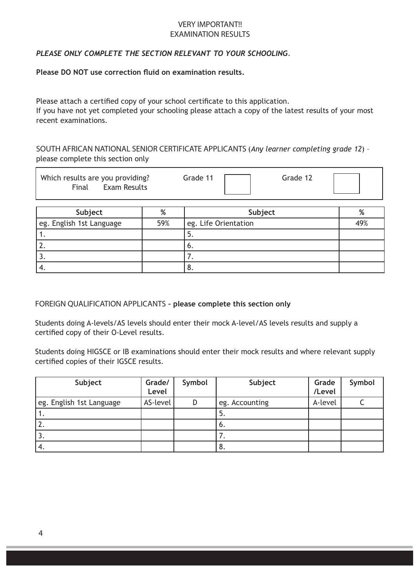#### VERY IMPORTANT!! EXAMINATION RESULTS

# *PLEASE ONLY COMPLETE THE SECTION RELEVANT TO YOUR SCHOOLING.*

#### **Please DO NOT use correction fluid on examination results.**

Please attach a certified copy of your school certificate to this application. If you have not yet completed your schooling please attach a copy of the latest results of your most recent examinations.

SOUTH AFRICAN NATIONAL SENIOR CERTIFICATE APPLICANTS (*Any learner completing grade 12*) – please complete this section only

| Which results are you providing? |              | Grade 11 | Grade 12 |  |
|----------------------------------|--------------|----------|----------|--|
| Final                            | Exam Results |          |          |  |

| Subject                  | %   | Subject              | %   |
|--------------------------|-----|----------------------|-----|
| eg. English 1st Language | 59% | eg. Life Orientation | 49% |
| . .                      |     | J.                   |     |
| <u>.</u>                 |     | ο.                   |     |
| J.                       |     |                      |     |
| -4.                      |     | о.                   |     |

FOREIGN QUALIFICATION APPLICANTS **– please complete this section only**

Students doing A-levels/AS levels should enter their mock A-level/AS levels results and supply a certified copy of their O-Level results.

Students doing HIGSCE or IB examinations should enter their mock results and where relevant supply certified copies of their IGSCE results.

| Subject                  | Grade/<br>Level | Symbol | Subject        | Grade<br>/Level | Symbol |
|--------------------------|-----------------|--------|----------------|-----------------|--------|
| eg. English 1st Language | AS-level        | D      | eg. Accounting | A-level         |        |
|                          |                 |        | 5.             |                 |        |
| $^{\prime}$ 2.           |                 |        | 6.             |                 |        |
| '3.                      |                 |        | . .            |                 |        |
| 4.                       |                 |        | 8.             |                 |        |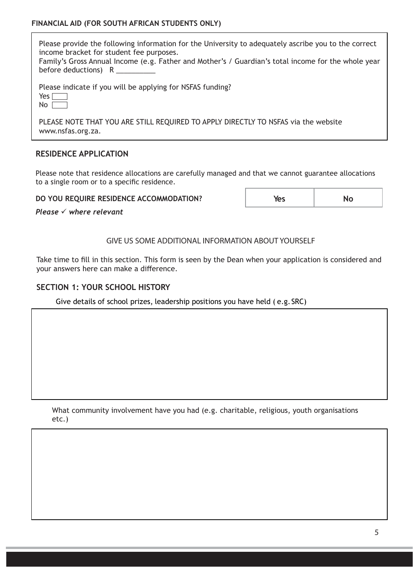Please provide the following information for the University to adequately ascribe you to the correct income bracket for student fee purposes. Family's Gross Annual Income (e.g. Father and Mother's / Guardian's total income for the whole year

before deductions)  $R_{\perp}$ 

|                       |  |  |  | Please indicate if you will be applying for NSFAS funding? |
|-----------------------|--|--|--|------------------------------------------------------------|
| $V_{\rm{max}}$ $\Box$ |  |  |  |                                                            |

| $\sim$<br>$\sim$ |  |
|------------------|--|
|                  |  |

PLEASE NOTE THAT YOU ARE STILL REQUIRED TO APPLY DIRECTLY TO NSFAS via the website www.nsfas.org.za.

# **RESIDENCE APPLICATION**

Please note that residence allocations are carefully managed and that we cannot guarantee allocations to a single room or to a specific residence.

**DO YOU REQUIRE RESIDENCE ACCOMMODATION?**

| Yes | No |
|-----|----|
|     |    |

*Please*  $\checkmark$  where relevant

GIVE US SOME ADDITIONAL INFORMATION ABOUT YOURSELF

Take time to fill in this section. This form is seen by the Dean when your application is considered and your answers here can make a difference.

# **SECTION 1: YOUR SCHOOL HISTORY**

Give details of school prizes, leadership positions you have held ( e.g.SRC)

What community involvement have you had (e.g. charitable, religious, youth organisations etc.)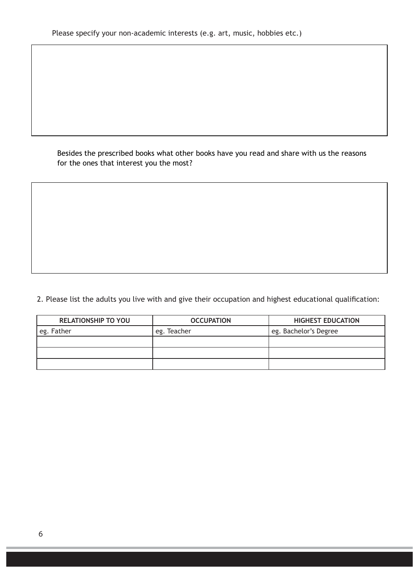Besides the prescribed books what other books have you read and share with us the reasons for the ones that interest you the most?

2. Please list the adults you live with and give their occupation and highest educational qualification:

| <b>RELATIONSHIP TO YOU</b> | <b>OCCUPATION</b> | <b>HIGHEST EDUCATION</b> |
|----------------------------|-------------------|--------------------------|
| eg. Father                 | eg. Teacher       | eg. Bachelor's Degree    |
|                            |                   |                          |
|                            |                   |                          |
|                            |                   |                          |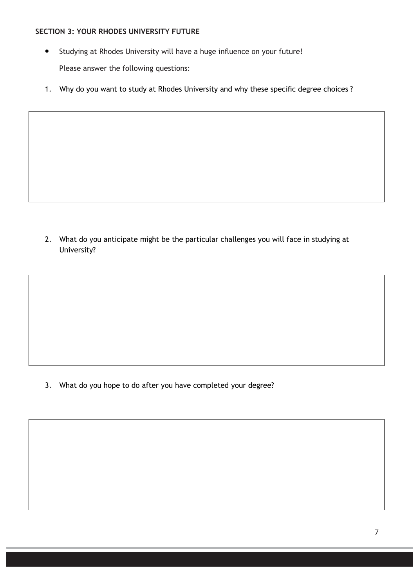#### **SECTION 3: YOUR RHODES UNIVERSITY FUTURE**

- $\bullet$ Studying at Rhodes University will have a huge influence on your future! Please answer the following questions:
- 1. Why do you want to study at Rhodes University and why these specific degree choices ?

2. What do you anticipate might be the particular challenges you will face in studying at University?

3. What do you hope to do after you have completed your degree?